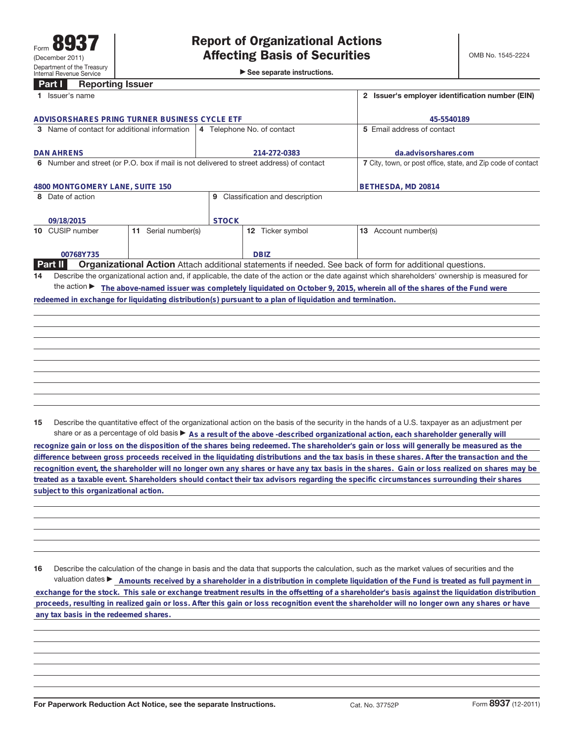►<br>► See separate instructions.

## **Part I Reporting Issuer**

|                                              | Issuer's name                                                                                           | 2 Issuer's employer identification number (EIN) |                                |                                                                                                                                                 |
|----------------------------------------------|---------------------------------------------------------------------------------------------------------|-------------------------------------------------|--------------------------------|-------------------------------------------------------------------------------------------------------------------------------------------------|
|                                              | ADVISORSHARES PRING TURNER BUSINESS CYCLE ETF                                                           | 45-5540189                                      |                                |                                                                                                                                                 |
| 3 Name of contact for additional information |                                                                                                         | 4 Telephone No. of contact                      |                                | 5 Email address of contact                                                                                                                      |
|                                              | <b>DAN AHRENS</b>                                                                                       | 214-272-0383                                    |                                | da.advisorshares.com                                                                                                                            |
|                                              | 6 Number and street (or P.O. box if mail is not delivered to street address) of contact                 |                                                 |                                | 7 City, town, or post office, state, and Zip code of contact                                                                                    |
|                                              | 4800 MONTGOMERY LANE, SUITE 150                                                                         |                                                 |                                | BETHESDA, MD 20814                                                                                                                              |
|                                              | 8 Date of action                                                                                        | 9                                               | Classification and description |                                                                                                                                                 |
|                                              | 09/18/2015                                                                                              | <b>STOCK</b>                                    |                                |                                                                                                                                                 |
|                                              | 10 CUSIP number<br>11 Serial number(s)                                                                  |                                                 | 12 Ticker symbol               | Account number(s)<br>13 <sup>13</sup>                                                                                                           |
|                                              | 00768Y735                                                                                               |                                                 | <b>DBIZ</b>                    |                                                                                                                                                 |
|                                              | <b>Part II</b>                                                                                          |                                                 |                                | Organizational Action Attach additional statements if needed. See back of form for additional questions.                                        |
| 14                                           |                                                                                                         |                                                 |                                | Describe the organizational action and, if applicable, the date of the action or the date against which shareholders' ownership is measured for |
|                                              | the action $\blacktriangleright$                                                                        |                                                 |                                | The above-named issuer was completely liquidated on October 9, 2015, wherein all of the shares of the Fund were                                 |
|                                              | redeemed in exchange for liquidating distribution(s) pursuant to a plan of liquidation and termination. |                                                 |                                |                                                                                                                                                 |
|                                              |                                                                                                         |                                                 |                                |                                                                                                                                                 |
|                                              |                                                                                                         |                                                 |                                |                                                                                                                                                 |
|                                              |                                                                                                         |                                                 |                                |                                                                                                                                                 |
|                                              |                                                                                                         |                                                 |                                |                                                                                                                                                 |
|                                              |                                                                                                         |                                                 |                                |                                                                                                                                                 |
|                                              |                                                                                                         |                                                 |                                |                                                                                                                                                 |

**15** Describe the quantitative effect of the organizational action on the basis of the security in the hands of a U.S. taxpayer as an adjustment per share or as a percentage of old basis  $\blacktriangleright$  As a result of the above -described organizational action, each shareholder generally will

**recognize gain or loss on the disposition of the shares being redeemed. The shareholder's gain or loss will generally be measured as the difference between gross proceeds received in the liquidating distributions and the tax basis in these shares. After the transaction and the recognition event, the shareholder will no longer own any shares or have any tax basis in the shares. Gain or loss realized on shares may be treated as a taxable event. Shareholders should contact their tax advisors regarding the specific circumstances surrounding their shares subject to this organizational action.**

**16** Describe the calculation of the change in basis and the data that supports the calculation, such as the market values of securities and the valuation dates **E** Amounts received by a shareholder in a distribution in complete liquidation of the Fund is treated as full payment in  **exchange for the stock. This sale or exchange treatment results in the offsetting of a shareholder's basis against the liquidation distribution proceeds, resulting in realized gain or loss. After this gain or loss recognition event the shareholder will no longer own any shares or have any tax basis in the redeemed shares.**